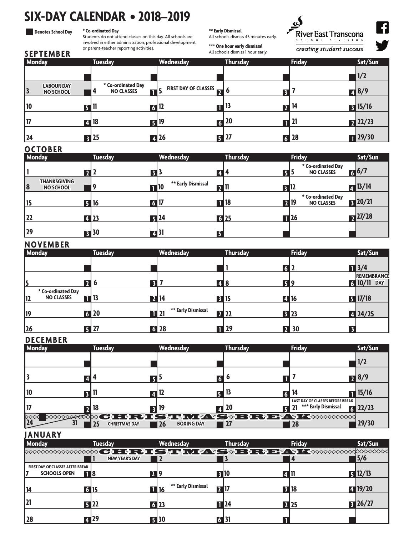# **SIX-DAY CALENDAR • 2018–2019**

#### **Denotes School Day**

I

**\* Co-ordinated Day**

Students do not attend classes on this day. All schools are involved in either administration, professional development or parent-teacher reporting activities.

#### **\*\* Early Dismissal**

**\*\*\* One hour early dismissal** All schools dismiss 1 hour early.

All schools dismiss 45 minutes early.

 $\overline{\mathbf{C}}$ River East Transcona CHOOL DIVISION

creating student success



|               | <b>SEPTEMBER</b>                      |                 |                   | or parent-teacher reporting activities. |            |                                 |                | All schools dismiss 1 hour early. | <i>creating student success</i> |                   |
|---------------|---------------------------------------|-----------------|-------------------|-----------------------------------------|------------|---------------------------------|----------------|-----------------------------------|---------------------------------|-------------------|
| <b>Monday</b> |                                       |                 |                   | <b>Tuesday</b>                          |            | <b>Wednesday</b>                |                | <b>Thursday</b>                   | <b>Friday</b>                   | Sat/Sun           |
|               |                                       |                 |                   |                                         |            |                                 |                |                                   |                                 | 1/2               |
|               | <b>LABOUR DAY</b><br><b>NO SCHOOL</b> |                 | 4                 | * Co-ordinated Day<br><b>NO CLASSES</b> | <b>n</b> 5 | <b>FIRST DAY OF CLASSES D</b> 6 |                |                                   |                                 | $\sqrt{3}/9$      |
|               |                                       | $F^{\text{th}}$ |                   |                                         |            | $6\vert\,$                      | П              | 13                                | 14                              | $3 \frac{15}{16}$ |
|               |                                       |                 | $\blacksquare$ 18 |                                         |            | <b>51</b> 19                    | $\overline{6}$ | 20                                | 21                              | 22/23             |
| 24            |                                       |                 | $\overline{5}$ 25 |                                         |            | $\blacksquare$ 26               | 5              | 27                                | $\overline{6}$ 28               | $\sqrt{29/30}$    |

# **OCTOBER**

| Monday                                        | <b>Tuesday</b>          | Wednesday                        | <b>Thursday</b> | <b>Friday</b>                                  | Sat/Sun        |
|-----------------------------------------------|-------------------------|----------------------------------|-----------------|------------------------------------------------|----------------|
|                                               | $\overline{\mathbf{3}}$ |                                  | 414             | * Co-ordinated Day<br><b>NO CLASSES</b><br>5 E | $\sqrt{6/7}$   |
| <b>THANKSGIVING</b><br>18<br><b>NO SCHOOL</b> | 9                       | ** Early Dismissal<br>$\Pi^{10}$ | 2Ш              |                                                | $\sqrt{13/14}$ |
|                                               | 516<br>$\overline{6}$   |                                  | $\Pi$ 18        | * Co-ordinated Day<br>719<br><b>NO CLASSES</b> | 120/21         |
| 22                                            | 4 23                    | 24                               | 625             | $\Pi$ 26                                       | $7^{27/28}$    |
| 29                                            | $\overline{5}$ 30       | Z131<br>3                        |                 |                                                |                |

### **NOVEMBER**

| .<br><b>Monday</b>                             |                | <b>Tuesday</b>    | Wednesday          | <b>Thursday</b>   | <b>Friday</b> | Sat/Sun                                    |
|------------------------------------------------|----------------|-------------------|--------------------|-------------------|---------------|--------------------------------------------|
|                                                |                |                   |                    | 6 P               |               | $\sqrt{3}/4$                               |
| 15                                             | $\mathbf{2}$ 6 | $\overline{3}$    |                    | <b>4 8</b>        | 519           | <b>REMEMBRANCE</b><br>610/11<br><b>DAY</b> |
| * Co-ordinated Day<br><b>NO CLASSES</b><br> 12 | <b>1</b> 13    | $\overline{2}$ 14 |                    | <b>B</b> 15       | 4 16          | $5 \frac{17}{18}$                          |
| 19                                             | $6$   20       | $\blacksquare$ 21 | ** Early Dismissal | <b>22</b> 22      | 323           | 424/25                                     |
| 26                                             | 527            |                   | $6$ 28             | $\blacksquare$ 29 | <b>2</b> 30   |                                            |

## **DECEMBER**

| <b>Monday</b>        | <b>Tuesday</b>             | Wednesday               | <b>Thursday</b> | <b>Friday</b>                                                  | Sat/Sun              |
|----------------------|----------------------------|-------------------------|-----------------|----------------------------------------------------------------|----------------------|
|                      |                            |                         |                 |                                                                | 1/2                  |
|                      |                            |                         |                 |                                                                | 78/9                 |
| 10                   |                            | IJ                      |                 | 14                                                             | $\blacksquare$ 15/16 |
|                      | 18                         | 19                      | 1 20            | <b>LAST DAY OF CLASSES BEFORE BREAK</b><br>*** Early Dismissal | 22/23                |
| <b>XXXXXXXXXXXXX</b> | 25<br><b>CHRISTMAS DAY</b> | 26<br><b>BOXING DAY</b> |                 | 6 H H H K H K H K 44S & B R H H X K XXXXXXXX<br>  28           | 29/30                |

## **JANUARY**

| <b>Monday</b>                           | <b>Tuesday</b>        | Wednesday          | <b>Thursday</b> | <b>Friday</b> | Sat/Sun |
|-----------------------------------------|-----------------------|--------------------|-----------------|---------------|---------|
|                                         |                       |                    |                 |               |         |
|                                         | <b>NEW YEAR'S DAY</b> |                    |                 |               | 15/6    |
| <b>FIRST DAY OF CLASSES AFTER BREAK</b> |                       |                    |                 |               |         |
| <b>SCHOOLS OPEN</b>                     | <b>TI8</b>            | 219                | <b>310</b>      | 4 U           | 512/13  |
|                                         |                       | ** Early Dismissal |                 |               |         |
| 14                                      | 615                   | <b>11</b> 16       | 717             | <b>B</b> 18   | 419/20  |
| 21                                      |                       |                    |                 |               |         |
|                                         | 522                   | 6 23               | $\Pi$ 24        | <b>22</b> 25  | 326/27  |
| 28                                      | $\overline{4}$ 29     | 同30                | 6 BI            |               |         |